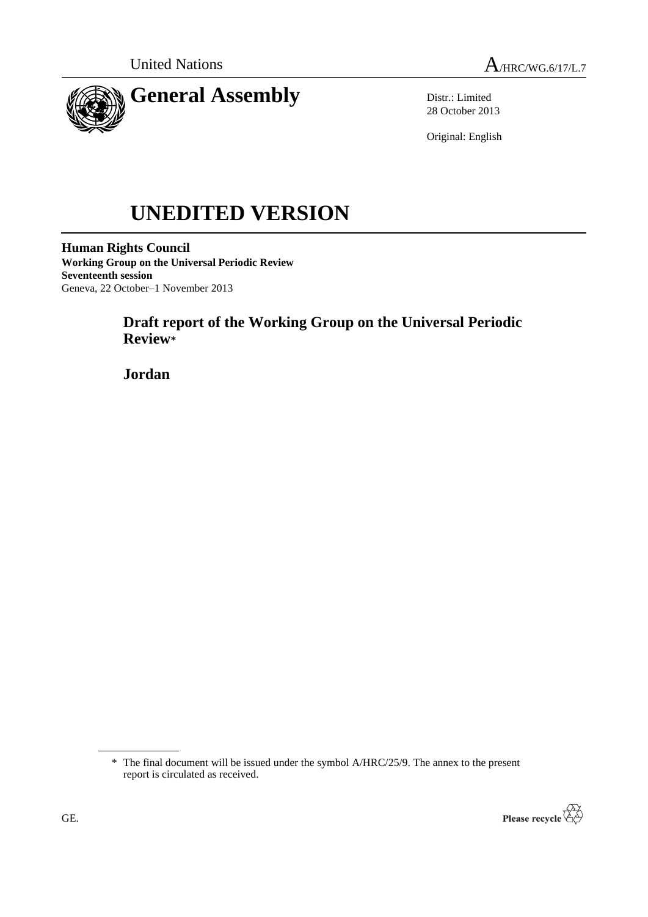



Distr.: Limited 28 October 2013

Original: English

# **UNEDITED VERSION**

**Human Rights Council Working Group on the Universal Periodic Review Seventeenth session** Geneva, 22 October–1 November 2013

# **Draft report of the Working Group on the Universal Periodic Review\***

**Jordan**

<sup>\*</sup> The final document will be issued under the symbol A/HRC/25/9. The annex to the present report is circulated as received.

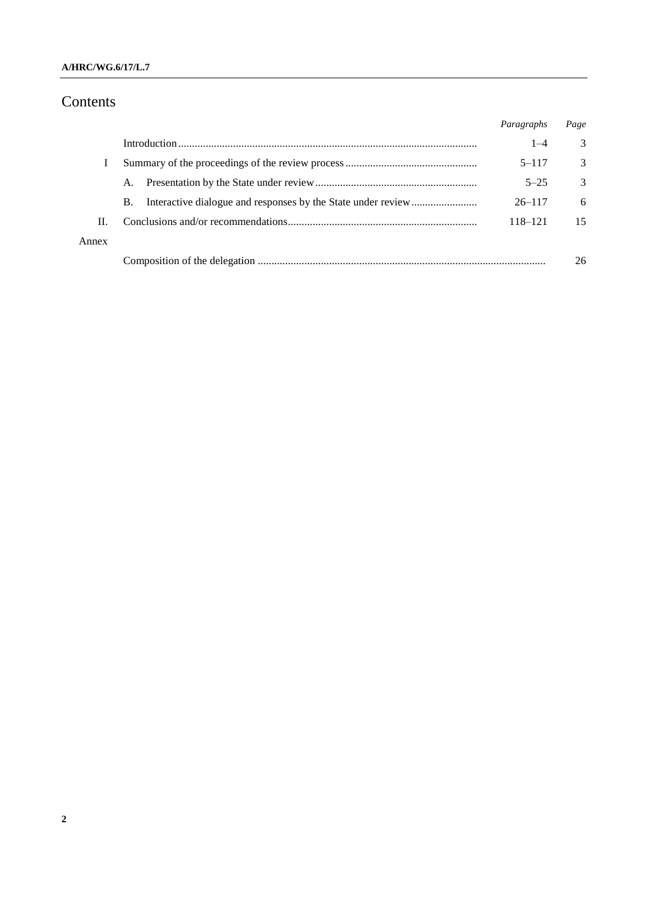### **A/HRC/WG.6/17/L.7**

# Contents

|       |           | Paragraphs | Page          |
|-------|-----------|------------|---------------|
|       |           | $1 - 4$    | 3             |
|       |           | $5 - 117$  | 3             |
|       | A.        | $5 - 25$   | $\mathcal{R}$ |
|       | <b>B.</b> | $26 - 117$ | 6             |
| Н.    |           | 118–121    | 15            |
| Annex |           |            |               |
|       |           |            | 26            |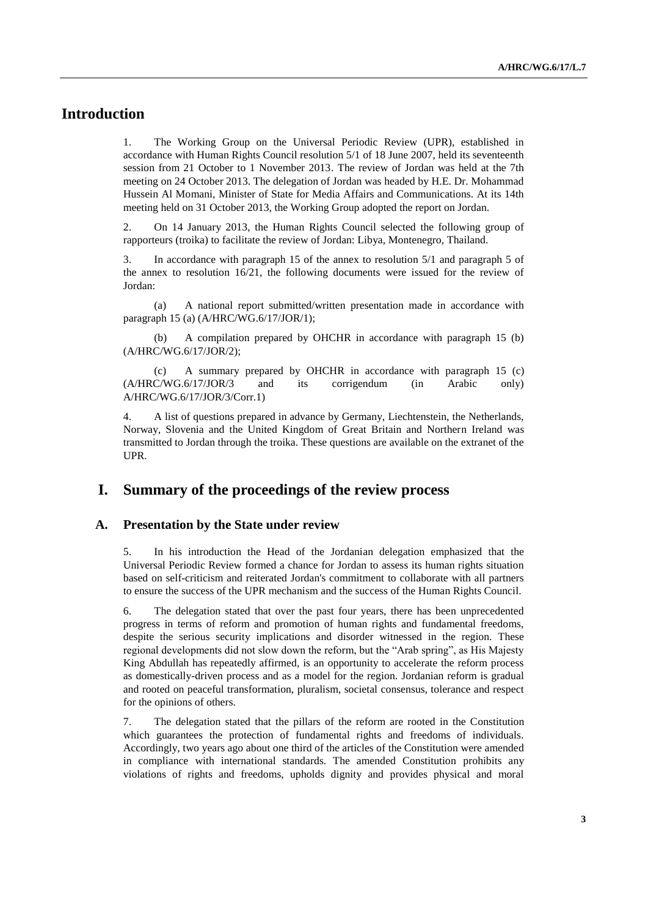# **Introduction**

1. The Working Group on the Universal Periodic Review (UPR), established in accordance with Human Rights Council resolution 5/1 of 18 June 2007, held its seventeenth session from 21 October to 1 November 2013. The review of Jordan was held at the 7th meeting on 24 October 2013. The delegation of Jordan was headed by H.E. Dr. Mohammad Hussein Al Momani, Minister of State for Media Affairs and Communications. At its 14th meeting held on 31 October 2013, the Working Group adopted the report on Jordan.

2. On 14 January 2013, the Human Rights Council selected the following group of rapporteurs (troika) to facilitate the review of Jordan: Libya, Montenegro, Thailand.

3. In accordance with paragraph 15 of the annex to resolution 5/1 and paragraph 5 of the annex to resolution 16/21, the following documents were issued for the review of Jordan:

(a) A national report submitted/written presentation made in accordance with paragraph 15 (a) (A/HRC/WG.6/17/JOR/1);

(b) A compilation prepared by OHCHR in accordance with paragraph 15 (b) (A/HRC/WG.6/17/JOR/2);

(c) A summary prepared by OHCHR in accordance with paragraph 15 (c) (A/HRC/WG.6/17/JOR/3 and its corrigendum (in Arabic only) A/HRC/WG.6/17/JOR/3/Corr.1)

4. A list of questions prepared in advance by Germany, Liechtenstein, the Netherlands, Norway, Slovenia and the United Kingdom of Great Britain and Northern Ireland was transmitted to Jordan through the troika. These questions are available on the extranet of the UPR.

## **I. Summary of the proceedings of the review process**

#### **A. Presentation by the State under review**

5. In his introduction the Head of the Jordanian delegation emphasized that the Universal Periodic Review formed a chance for Jordan to assess its human rights situation based on self-criticism and reiterated Jordan's commitment to collaborate with all partners to ensure the success of the UPR mechanism and the success of the Human Rights Council.

6. The delegation stated that over the past four years, there has been unprecedented progress in terms of reform and promotion of human rights and fundamental freedoms, despite the serious security implications and disorder witnessed in the region. These regional developments did not slow down the reform, but the "Arab spring", as His Majesty King Abdullah has repeatedly affirmed, is an opportunity to accelerate the reform process as domestically-driven process and as a model for the region. Jordanian reform is gradual and rooted on peaceful transformation, pluralism, societal consensus, tolerance and respect for the opinions of others.

7. The delegation stated that the pillars of the reform are rooted in the Constitution which guarantees the protection of fundamental rights and freedoms of individuals. Accordingly, two years ago about one third of the articles of the Constitution were amended in compliance with international standards. The amended Constitution prohibits any violations of rights and freedoms, upholds dignity and provides physical and moral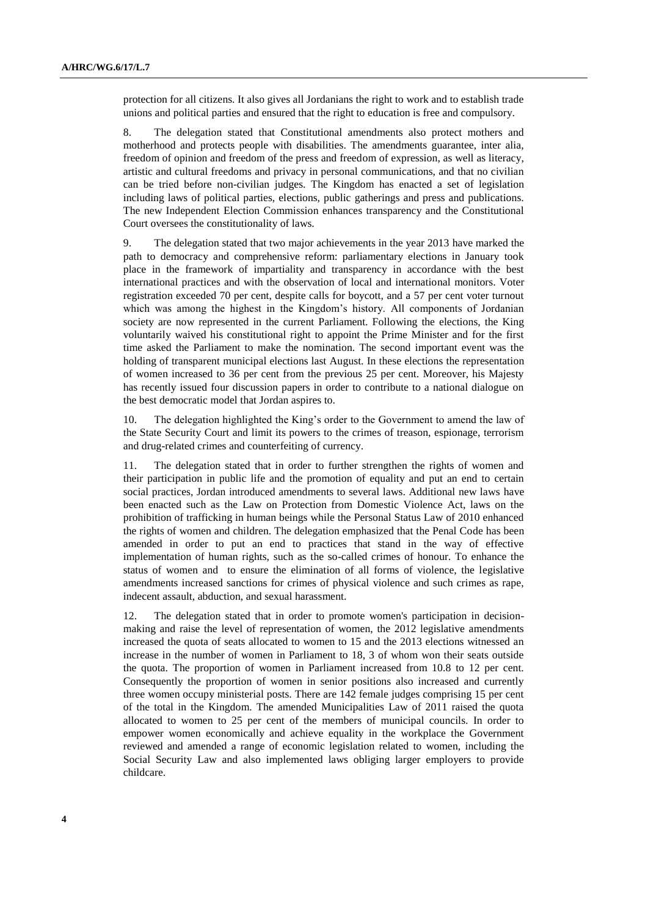protection for all citizens. It also gives all Jordanians the right to work and to establish trade unions and political parties and ensured that the right to education is free and compulsory.

8. The delegation stated that Constitutional amendments also protect mothers and motherhood and protects people with disabilities. The amendments guarantee, inter alia, freedom of opinion and freedom of the press and freedom of expression, as well as literacy, artistic and cultural freedoms and privacy in personal communications, and that no civilian can be tried before non-civilian judges. The Kingdom has enacted a set of legislation including laws of political parties, elections, public gatherings and press and publications. The new Independent Election Commission enhances transparency and the Constitutional Court oversees the constitutionality of laws.

9. The delegation stated that two major achievements in the year 2013 have marked the path to democracy and comprehensive reform: parliamentary elections in January took place in the framework of impartiality and transparency in accordance with the best international practices and with the observation of local and international monitors. Voter registration exceeded 70 per cent, despite calls for boycott, and a 57 per cent voter turnout which was among the highest in the Kingdom's history. All components of Jordanian society are now represented in the current Parliament. Following the elections, the King voluntarily waived his constitutional right to appoint the Prime Minister and for the first time asked the Parliament to make the nomination. The second important event was the holding of transparent municipal elections last August. In these elections the representation of women increased to 36 per cent from the previous 25 per cent. Moreover, his Majesty has recently issued four discussion papers in order to contribute to a national dialogue on the best democratic model that Jordan aspires to.

10. The delegation highlighted the King's order to the Government to amend the law of the State Security Court and limit its powers to the crimes of treason, espionage, terrorism and drug-related crimes and counterfeiting of currency.

11. The delegation stated that in order to further strengthen the rights of women and their participation in public life and the promotion of equality and put an end to certain social practices, Jordan introduced amendments to several laws. Additional new laws have been enacted such as the Law on Protection from Domestic Violence Act, laws on the prohibition of trafficking in human beings while the Personal Status Law of 2010 enhanced the rights of women and children. The delegation emphasized that the Penal Code has been amended in order to put an end to practices that stand in the way of effective implementation of human rights, such as the so-called crimes of honour. To enhance the status of women and to ensure the elimination of all forms of violence, the legislative amendments increased sanctions for crimes of physical violence and such crimes as rape, indecent assault, abduction, and sexual harassment.

12. The delegation stated that in order to promote women's participation in decisionmaking and raise the level of representation of women, the 2012 legislative amendments increased the quota of seats allocated to women to 15 and the 2013 elections witnessed an increase in the number of women in Parliament to 18, 3 of whom won their seats outside the quota. The proportion of women in Parliament increased from 10.8 to 12 per cent. Consequently the proportion of women in senior positions also increased and currently three women occupy ministerial posts. There are 142 female judges comprising 15 per cent of the total in the Kingdom. The amended Municipalities Law of 2011 raised the quota allocated to women to 25 per cent of the members of municipal councils. In order to empower women economically and achieve equality in the workplace the Government reviewed and amended a range of economic legislation related to women, including the Social Security Law and also implemented laws obliging larger employers to provide childcare.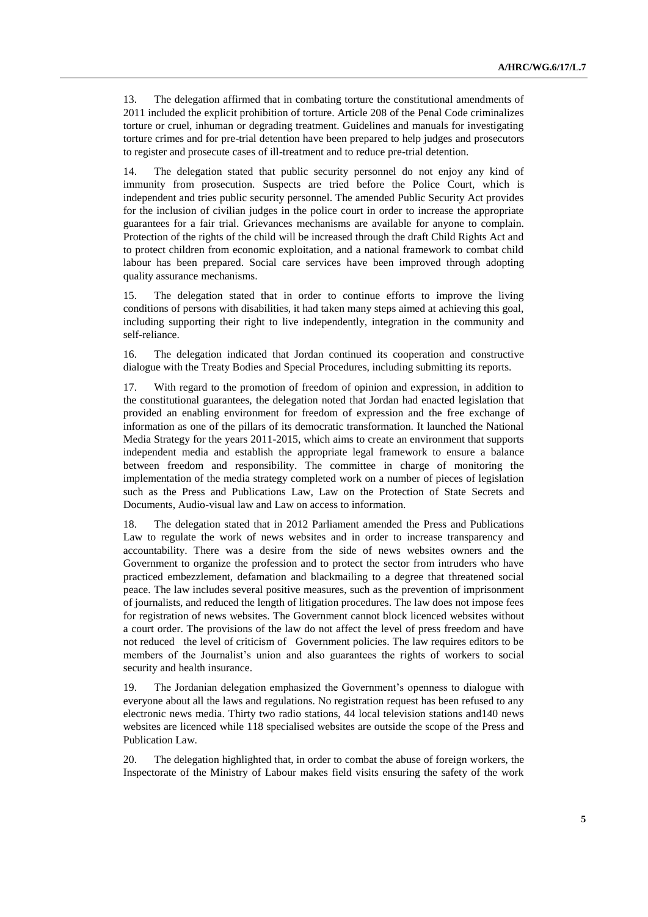13. The delegation affirmed that in combating torture the constitutional amendments of 2011 included the explicit prohibition of torture. Article 208 of the Penal Code criminalizes torture or cruel, inhuman or degrading treatment. Guidelines and manuals for investigating torture crimes and for pre-trial detention have been prepared to help judges and prosecutors to register and prosecute cases of ill-treatment and to reduce pre-trial detention.

14. The delegation stated that public security personnel do not enjoy any kind of immunity from prosecution. Suspects are tried before the Police Court, which is independent and tries public security personnel. The amended Public Security Act provides for the inclusion of civilian judges in the police court in order to increase the appropriate guarantees for a fair trial. Grievances mechanisms are available for anyone to complain. Protection of the rights of the child will be increased through the draft Child Rights Act and to protect children from economic exploitation, and a national framework to combat child labour has been prepared. Social care services have been improved through adopting quality assurance mechanisms.

15. The delegation stated that in order to continue efforts to improve the living conditions of persons with disabilities, it had taken many steps aimed at achieving this goal, including supporting their right to live independently, integration in the community and self-reliance.

16. The delegation indicated that Jordan continued its cooperation and constructive dialogue with the Treaty Bodies and Special Procedures, including submitting its reports.

17. With regard to the promotion of freedom of opinion and expression, in addition to the constitutional guarantees, the delegation noted that Jordan had enacted legislation that provided an enabling environment for freedom of expression and the free exchange of information as one of the pillars of its democratic transformation. It launched the National Media Strategy for the years 2011-2015, which aims to create an environment that supports independent media and establish the appropriate legal framework to ensure a balance between freedom and responsibility. The committee in charge of monitoring the implementation of the media strategy completed work on a number of pieces of legislation such as the Press and Publications Law, Law on the Protection of State Secrets and Documents, Audio-visual law and Law on access to information.

18. The delegation stated that in 2012 Parliament amended the Press and Publications Law to regulate the work of news websites and in order to increase transparency and accountability. There was a desire from the side of news websites owners and the Government to organize the profession and to protect the sector from intruders who have practiced embezzlement, defamation and blackmailing to a degree that threatened social peace. The law includes several positive measures, such as the prevention of imprisonment of journalists, and reduced the length of litigation procedures. The law does not impose fees for registration of news websites. The Government cannot block licenced websites without a court order. The provisions of the law do not affect the level of press freedom and have not reduced the level of criticism of Government policies. The law requires editors to be members of the Journalist's union and also guarantees the rights of workers to social security and health insurance.

19. The Jordanian delegation emphasized the Government's openness to dialogue with everyone about all the laws and regulations. No registration request has been refused to any electronic news media. Thirty two radio stations, 44 local television stations and140 news websites are licenced while 118 specialised websites are outside the scope of the Press and Publication Law.

20. The delegation highlighted that, in order to combat the abuse of foreign workers, the Inspectorate of the Ministry of Labour makes field visits ensuring the safety of the work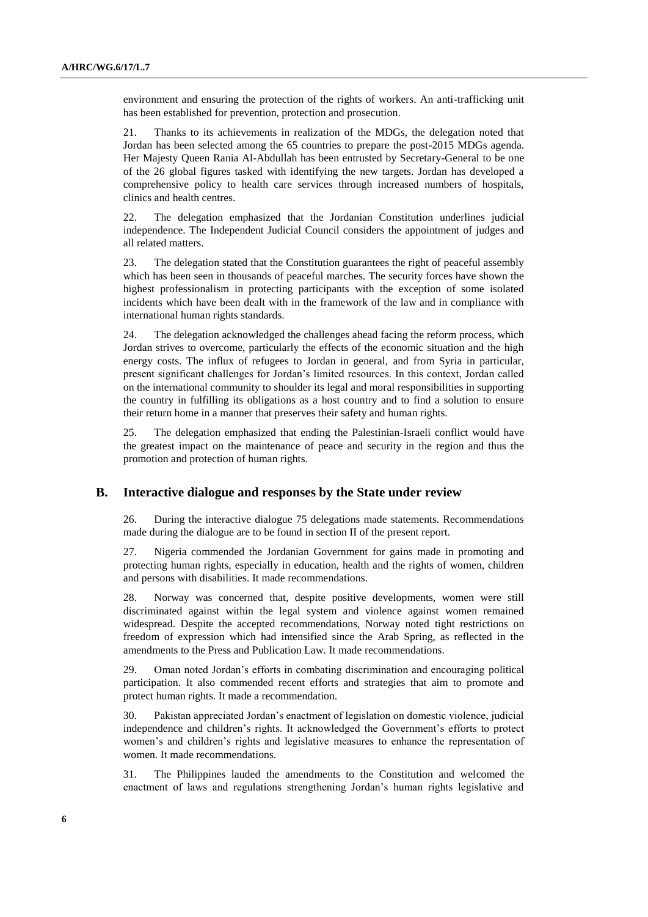environment and ensuring the protection of the rights of workers. An anti-trafficking unit has been established for prevention, protection and prosecution.

21. Thanks to its achievements in realization of the MDGs, the delegation noted that Jordan has been selected among the 65 countries to prepare the post-2015 MDGs agenda. Her Majesty Queen Rania Al-Abdullah has been entrusted by Secretary-General to be one of the 26 global figures tasked with identifying the new targets. Jordan has developed a comprehensive policy to health care services through increased numbers of hospitals, clinics and health centres.

22. The delegation emphasized that the Jordanian Constitution underlines judicial independence. The Independent Judicial Council considers the appointment of judges and all related matters.

23. The delegation stated that the Constitution guarantees the right of peaceful assembly which has been seen in thousands of peaceful marches. The security forces have shown the highest professionalism in protecting participants with the exception of some isolated incidents which have been dealt with in the framework of the law and in compliance with international human rights standards.

24. The delegation acknowledged the challenges ahead facing the reform process, which Jordan strives to overcome, particularly the effects of the economic situation and the high energy costs. The influx of refugees to Jordan in general, and from Syria in particular, present significant challenges for Jordan's limited resources. In this context, Jordan called on the international community to shoulder its legal and moral responsibilities in supporting the country in fulfilling its obligations as a host country and to find a solution to ensure their return home in a manner that preserves their safety and human rights.

25. The delegation emphasized that ending the Palestinian-Israeli conflict would have the greatest impact on the maintenance of peace and security in the region and thus the promotion and protection of human rights.

#### **B. Interactive dialogue and responses by the State under review**

26. During the interactive dialogue 75 delegations made statements. Recommendations made during the dialogue are to be found in section II of the present report.

27. Nigeria commended the Jordanian Government for gains made in promoting and protecting human rights, especially in education, health and the rights of women, children and persons with disabilities. It made recommendations.

28. Norway was concerned that, despite positive developments, women were still discriminated against within the legal system and violence against women remained widespread. Despite the accepted recommendations, Norway noted tight restrictions on freedom of expression which had intensified since the Arab Spring, as reflected in the amendments to the Press and Publication Law. It made recommendations.

29. Oman noted Jordan's efforts in combating discrimination and encouraging political participation. It also commended recent efforts and strategies that aim to promote and protect human rights. It made a recommendation.

30. Pakistan appreciated Jordan's enactment of legislation on domestic violence, judicial independence and children's rights. It acknowledged the Government's efforts to protect women's and children's rights and legislative measures to enhance the representation of women. It made recommendations.

31. The Philippines lauded the amendments to the Constitution and welcomed the enactment of laws and regulations strengthening Jordan's human rights legislative and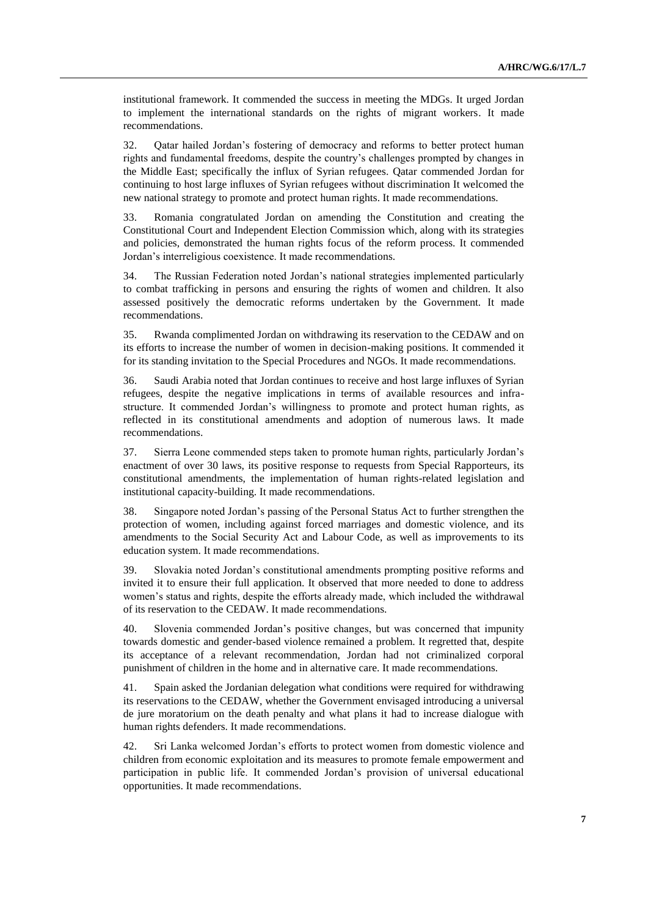institutional framework. It commended the success in meeting the MDGs. It urged Jordan to implement the international standards on the rights of migrant workers. It made recommendations.

32. Qatar hailed Jordan's fostering of democracy and reforms to better protect human rights and fundamental freedoms, despite the country's challenges prompted by changes in the Middle East; specifically the influx of Syrian refugees. Qatar commended Jordan for continuing to host large influxes of Syrian refugees without discrimination It welcomed the new national strategy to promote and protect human rights. It made recommendations.

33. Romania congratulated Jordan on amending the Constitution and creating the Constitutional Court and Independent Election Commission which, along with its strategies and policies, demonstrated the human rights focus of the reform process. It commended Jordan's interreligious coexistence. It made recommendations.

34. The Russian Federation noted Jordan's national strategies implemented particularly to combat trafficking in persons and ensuring the rights of women and children. It also assessed positively the democratic reforms undertaken by the Government. It made recommendations.

35. Rwanda complimented Jordan on withdrawing its reservation to the CEDAW and on its efforts to increase the number of women in decision-making positions. It commended it for its standing invitation to the Special Procedures and NGOs. It made recommendations.

36. Saudi Arabia noted that Jordan continues to receive and host large influxes of Syrian refugees, despite the negative implications in terms of available resources and infrastructure. It commended Jordan's willingness to promote and protect human rights, as reflected in its constitutional amendments and adoption of numerous laws. It made recommendations.

37. Sierra Leone commended steps taken to promote human rights, particularly Jordan's enactment of over 30 laws, its positive response to requests from Special Rapporteurs, its constitutional amendments, the implementation of human rights-related legislation and institutional capacity-building. It made recommendations.

38. Singapore noted Jordan's passing of the Personal Status Act to further strengthen the protection of women, including against forced marriages and domestic violence, and its amendments to the Social Security Act and Labour Code, as well as improvements to its education system. It made recommendations.

39. Slovakia noted Jordan's constitutional amendments prompting positive reforms and invited it to ensure their full application. It observed that more needed to done to address women's status and rights, despite the efforts already made, which included the withdrawal of its reservation to the CEDAW. It made recommendations.

40. Slovenia commended Jordan's positive changes, but was concerned that impunity towards domestic and gender-based violence remained a problem. It regretted that, despite its acceptance of a relevant recommendation, Jordan had not criminalized corporal punishment of children in the home and in alternative care. It made recommendations.

41. Spain asked the Jordanian delegation what conditions were required for withdrawing its reservations to the CEDAW, whether the Government envisaged introducing a universal de jure moratorium on the death penalty and what plans it had to increase dialogue with human rights defenders. It made recommendations.

42. Sri Lanka welcomed Jordan's efforts to protect women from domestic violence and children from economic exploitation and its measures to promote female empowerment and participation in public life. It commended Jordan's provision of universal educational opportunities. It made recommendations.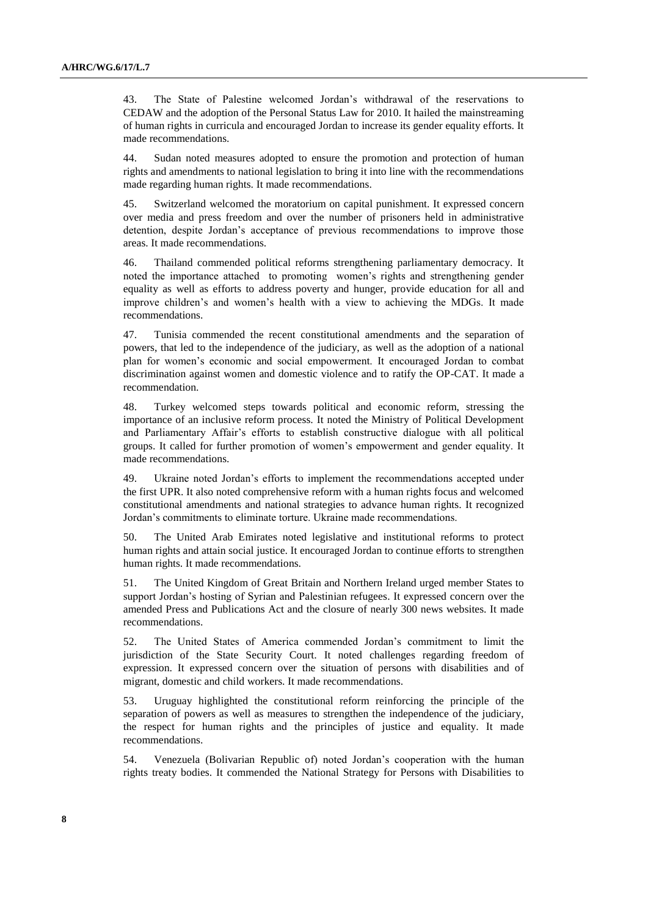43. The State of Palestine welcomed Jordan's withdrawal of the reservations to CEDAW and the adoption of the Personal Status Law for 2010. It hailed the mainstreaming of human rights in curricula and encouraged Jordan to increase its gender equality efforts. It made recommendations.

44. Sudan noted measures adopted to ensure the promotion and protection of human rights and amendments to national legislation to bring it into line with the recommendations made regarding human rights. It made recommendations.

45. Switzerland welcomed the moratorium on capital punishment. It expressed concern over media and press freedom and over the number of prisoners held in administrative detention, despite Jordan's acceptance of previous recommendations to improve those areas. It made recommendations.

46. Thailand commended political reforms strengthening parliamentary democracy. It noted the importance attached to promoting women's rights and strengthening gender equality as well as efforts to address poverty and hunger, provide education for all and improve children's and women's health with a view to achieving the MDGs. It made recommendations.

47. Tunisia commended the recent constitutional amendments and the separation of powers, that led to the independence of the judiciary, as well as the adoption of a national plan for women's economic and social empowerment. It encouraged Jordan to combat discrimination against women and domestic violence and to ratify the OP-CAT. It made a recommendation.

48. Turkey welcomed steps towards political and economic reform, stressing the importance of an inclusive reform process. It noted the Ministry of Political Development and Parliamentary Affair's efforts to establish constructive dialogue with all political groups. It called for further promotion of women's empowerment and gender equality. It made recommendations.

49. Ukraine noted Jordan's efforts to implement the recommendations accepted under the first UPR. It also noted comprehensive reform with a human rights focus and welcomed constitutional amendments and national strategies to advance human rights. It recognized Jordan's commitments to eliminate torture. Ukraine made recommendations.

50. The United Arab Emirates noted legislative and institutional reforms to protect human rights and attain social justice. It encouraged Jordan to continue efforts to strengthen human rights. It made recommendations.

51. The United Kingdom of Great Britain and Northern Ireland urged member States to support Jordan's hosting of Syrian and Palestinian refugees. It expressed concern over the amended Press and Publications Act and the closure of nearly 300 news websites. It made recommendations.

52. The United States of America commended Jordan's commitment to limit the jurisdiction of the State Security Court. It noted challenges regarding freedom of expression. It expressed concern over the situation of persons with disabilities and of migrant, domestic and child workers. It made recommendations.

53. Uruguay highlighted the constitutional reform reinforcing the principle of the separation of powers as well as measures to strengthen the independence of the judiciary, the respect for human rights and the principles of justice and equality. It made recommendations.

54. Venezuela (Bolivarian Republic of) noted Jordan's cooperation with the human rights treaty bodies. It commended the National Strategy for Persons with Disabilities to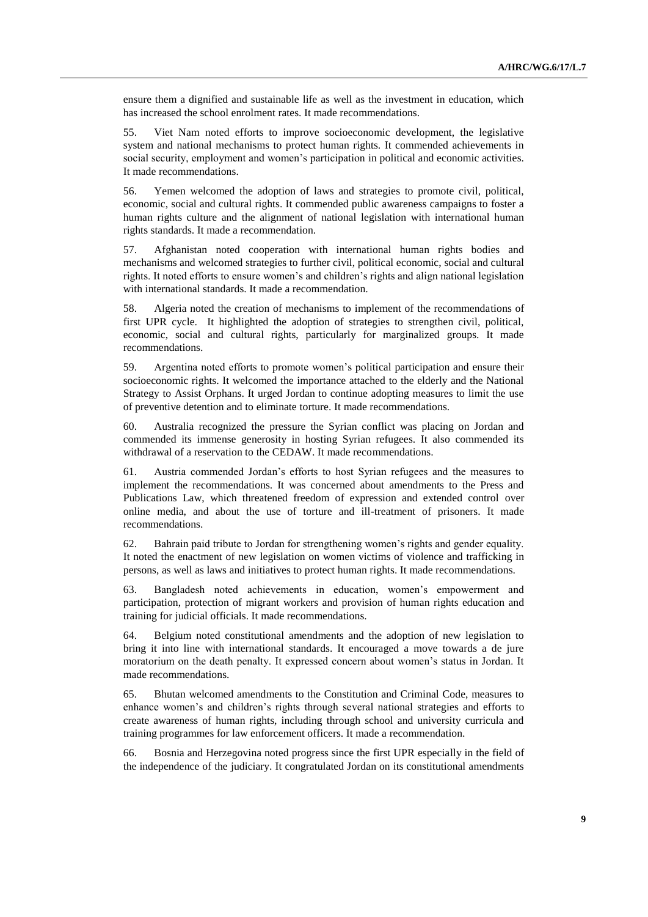ensure them a dignified and sustainable life as well as the investment in education, which has increased the school enrolment rates. It made recommendations.

55. Viet Nam noted efforts to improve socioeconomic development, the legislative system and national mechanisms to protect human rights. It commended achievements in social security, employment and women's participation in political and economic activities. It made recommendations.

56. Yemen welcomed the adoption of laws and strategies to promote civil, political, economic, social and cultural rights. It commended public awareness campaigns to foster a human rights culture and the alignment of national legislation with international human rights standards. It made a recommendation.

57. Afghanistan noted cooperation with international human rights bodies and mechanisms and welcomed strategies to further civil, political economic, social and cultural rights. It noted efforts to ensure women's and children's rights and align national legislation with international standards. It made a recommendation.

58. Algeria noted the creation of mechanisms to implement of the recommendations of first UPR cycle. It highlighted the adoption of strategies to strengthen civil, political, economic, social and cultural rights, particularly for marginalized groups. It made recommendations.

59. Argentina noted efforts to promote women's political participation and ensure their socioeconomic rights. It welcomed the importance attached to the elderly and the National Strategy to Assist Orphans. It urged Jordan to continue adopting measures to limit the use of preventive detention and to eliminate torture. It made recommendations.

60. Australia recognized the pressure the Syrian conflict was placing on Jordan and commended its immense generosity in hosting Syrian refugees. It also commended its withdrawal of a reservation to the CEDAW. It made recommendations.

61. Austria commended Jordan's efforts to host Syrian refugees and the measures to implement the recommendations. It was concerned about amendments to the Press and Publications Law, which threatened freedom of expression and extended control over online media, and about the use of torture and ill-treatment of prisoners. It made recommendations.

62. Bahrain paid tribute to Jordan for strengthening women's rights and gender equality. It noted the enactment of new legislation on women victims of violence and trafficking in persons, as well as laws and initiatives to protect human rights. It made recommendations.

63. Bangladesh noted achievements in education, women's empowerment and participation, protection of migrant workers and provision of human rights education and training for judicial officials. It made recommendations.

64. Belgium noted constitutional amendments and the adoption of new legislation to bring it into line with international standards. It encouraged a move towards a de jure moratorium on the death penalty. It expressed concern about women's status in Jordan. It made recommendations.

65. Bhutan welcomed amendments to the Constitution and Criminal Code, measures to enhance women's and children's rights through several national strategies and efforts to create awareness of human rights, including through school and university curricula and training programmes for law enforcement officers. It made a recommendation.

66. Bosnia and Herzegovina noted progress since the first UPR especially in the field of the independence of the judiciary. It congratulated Jordan on its constitutional amendments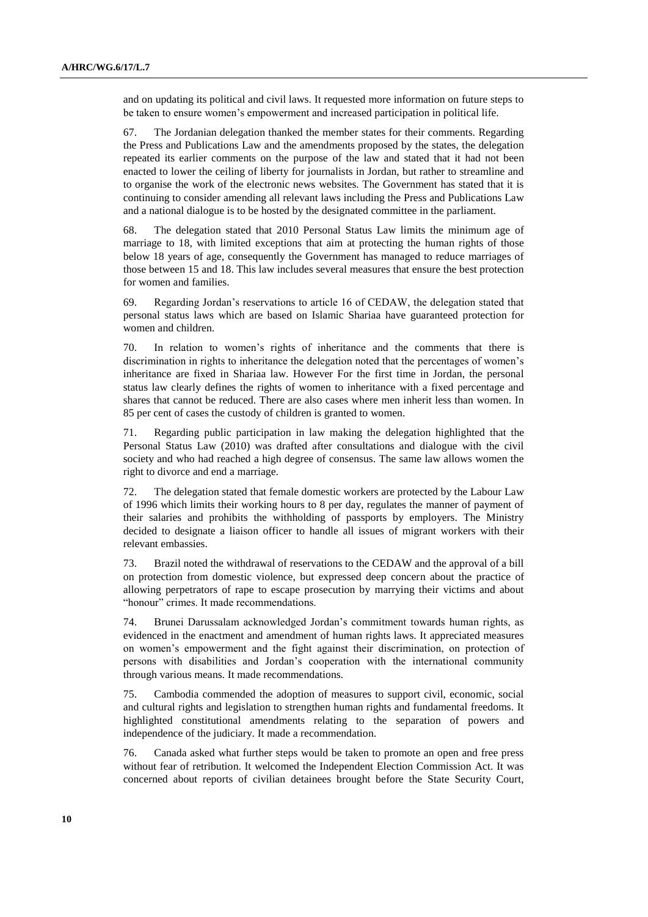and on updating its political and civil laws. It requested more information on future steps to be taken to ensure women's empowerment and increased participation in political life.

67. The Jordanian delegation thanked the member states for their comments. Regarding the Press and Publications Law and the amendments proposed by the states, the delegation repeated its earlier comments on the purpose of the law and stated that it had not been enacted to lower the ceiling of liberty for journalists in Jordan, but rather to streamline and to organise the work of the electronic news websites. The Government has stated that it is continuing to consider amending all relevant laws including the Press and Publications Law and a national dialogue is to be hosted by the designated committee in the parliament.

68. The delegation stated that 2010 Personal Status Law limits the minimum age of marriage to 18, with limited exceptions that aim at protecting the human rights of those below 18 years of age, consequently the Government has managed to reduce marriages of those between 15 and 18. This law includes several measures that ensure the best protection for women and families.

69. Regarding Jordan's reservations to article 16 of CEDAW, the delegation stated that personal status laws which are based on Islamic Shariaa have guaranteed protection for women and children.

70. In relation to women's rights of inheritance and the comments that there is discrimination in rights to inheritance the delegation noted that the percentages of women's inheritance are fixed in Shariaa law. However For the first time in Jordan, the personal status law clearly defines the rights of women to inheritance with a fixed percentage and shares that cannot be reduced. There are also cases where men inherit less than women. In 85 per cent of cases the custody of children is granted to women.

71. Regarding public participation in law making the delegation highlighted that the Personal Status Law (2010) was drafted after consultations and dialogue with the civil society and who had reached a high degree of consensus. The same law allows women the right to divorce and end a marriage.

72. The delegation stated that female domestic workers are protected by the Labour Law of 1996 which limits their working hours to 8 per day, regulates the manner of payment of their salaries and prohibits the withholding of passports by employers. The Ministry decided to designate a liaison officer to handle all issues of migrant workers with their relevant embassies.

73. Brazil noted the withdrawal of reservations to the CEDAW and the approval of a bill on protection from domestic violence, but expressed deep concern about the practice of allowing perpetrators of rape to escape prosecution by marrying their victims and about "honour" crimes. It made recommendations.

74. Brunei Darussalam acknowledged Jordan's commitment towards human rights, as evidenced in the enactment and amendment of human rights laws. It appreciated measures on women's empowerment and the fight against their discrimination, on protection of persons with disabilities and Jordan's cooperation with the international community through various means. It made recommendations.

75. Cambodia commended the adoption of measures to support civil, economic, social and cultural rights and legislation to strengthen human rights and fundamental freedoms. It highlighted constitutional amendments relating to the separation of powers and independence of the judiciary. It made a recommendation.

76. Canada asked what further steps would be taken to promote an open and free press without fear of retribution. It welcomed the Independent Election Commission Act. It was concerned about reports of civilian detainees brought before the State Security Court,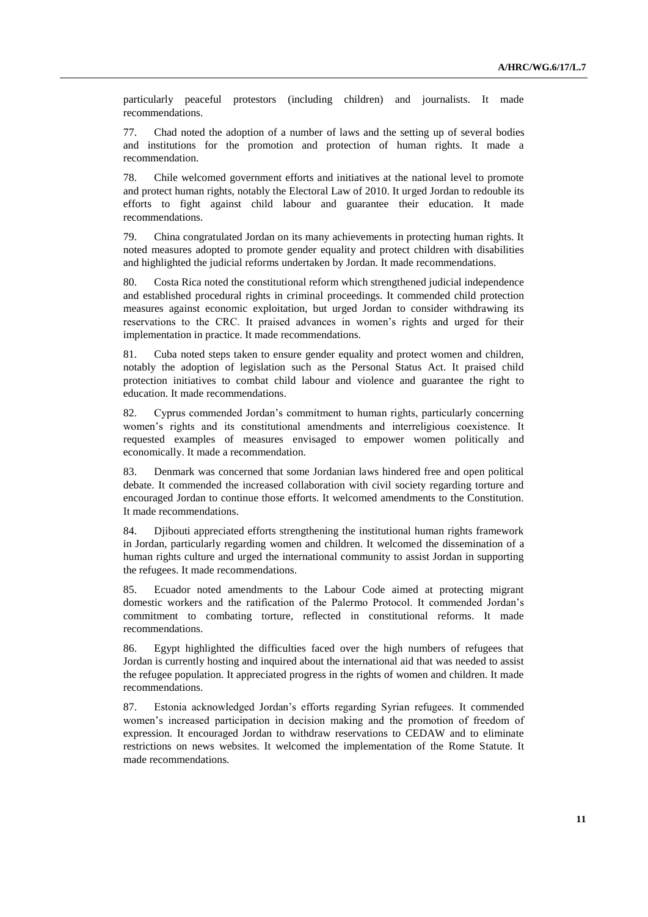particularly peaceful protestors (including children) and journalists. It made recommendations.

77. Chad noted the adoption of a number of laws and the setting up of several bodies and institutions for the promotion and protection of human rights. It made a recommendation.

78. Chile welcomed government efforts and initiatives at the national level to promote and protect human rights, notably the Electoral Law of 2010. It urged Jordan to redouble its efforts to fight against child labour and guarantee their education. It made recommendations.

79. China congratulated Jordan on its many achievements in protecting human rights. It noted measures adopted to promote gender equality and protect children with disabilities and highlighted the judicial reforms undertaken by Jordan. It made recommendations.

80. Costa Rica noted the constitutional reform which strengthened judicial independence and established procedural rights in criminal proceedings. It commended child protection measures against economic exploitation, but urged Jordan to consider withdrawing its reservations to the CRC. It praised advances in women's rights and urged for their implementation in practice. It made recommendations.

81. Cuba noted steps taken to ensure gender equality and protect women and children, notably the adoption of legislation such as the Personal Status Act. It praised child protection initiatives to combat child labour and violence and guarantee the right to education. It made recommendations.

82. Cyprus commended Jordan's commitment to human rights, particularly concerning women's rights and its constitutional amendments and interreligious coexistence. It requested examples of measures envisaged to empower women politically and economically. It made a recommendation.

83. Denmark was concerned that some Jordanian laws hindered free and open political debate. It commended the increased collaboration with civil society regarding torture and encouraged Jordan to continue those efforts. It welcomed amendments to the Constitution. It made recommendations.

84. Djibouti appreciated efforts strengthening the institutional human rights framework in Jordan, particularly regarding women and children. It welcomed the dissemination of a human rights culture and urged the international community to assist Jordan in supporting the refugees. It made recommendations.

85. Ecuador noted amendments to the Labour Code aimed at protecting migrant domestic workers and the ratification of the Palermo Protocol. It commended Jordan's commitment to combating torture, reflected in constitutional reforms. It made recommendations.

86. Egypt highlighted the difficulties faced over the high numbers of refugees that Jordan is currently hosting and inquired about the international aid that was needed to assist the refugee population. It appreciated progress in the rights of women and children. It made recommendations.

87. Estonia acknowledged Jordan's efforts regarding Syrian refugees. It commended women's increased participation in decision making and the promotion of freedom of expression. It encouraged Jordan to withdraw reservations to CEDAW and to eliminate restrictions on news websites. It welcomed the implementation of the Rome Statute. It made recommendations.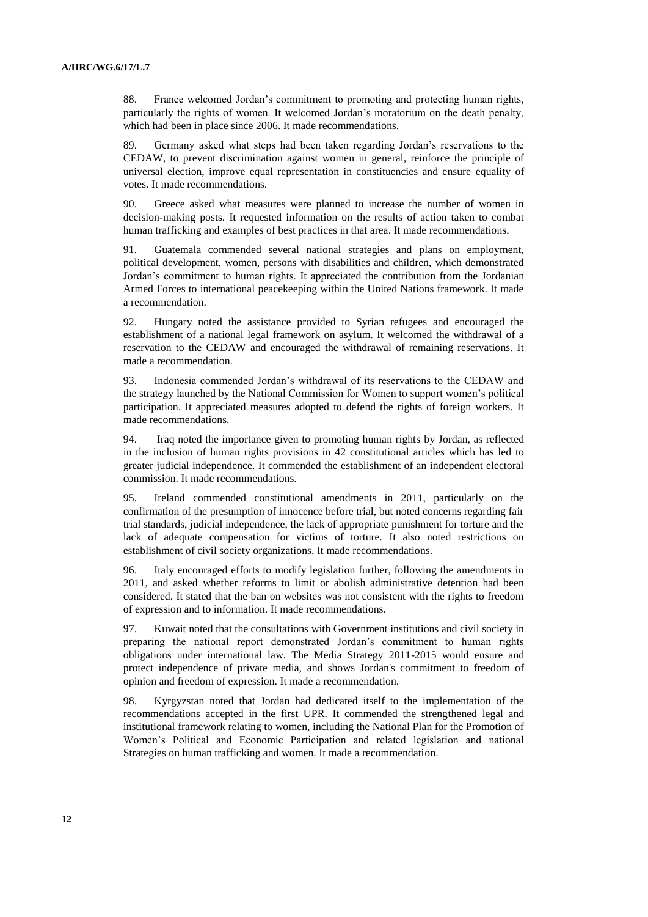88. France welcomed Jordan's commitment to promoting and protecting human rights, particularly the rights of women. It welcomed Jordan's moratorium on the death penalty, which had been in place since 2006. It made recommendations.

89. Germany asked what steps had been taken regarding Jordan's reservations to the CEDAW, to prevent discrimination against women in general, reinforce the principle of universal election, improve equal representation in constituencies and ensure equality of votes. It made recommendations.

90. Greece asked what measures were planned to increase the number of women in decision-making posts. It requested information on the results of action taken to combat human trafficking and examples of best practices in that area. It made recommendations.

91. Guatemala commended several national strategies and plans on employment, political development, women, persons with disabilities and children, which demonstrated Jordan's commitment to human rights. It appreciated the contribution from the Jordanian Armed Forces to international peacekeeping within the United Nations framework. It made a recommendation.

92. Hungary noted the assistance provided to Syrian refugees and encouraged the establishment of a national legal framework on asylum. It welcomed the withdrawal of a reservation to the CEDAW and encouraged the withdrawal of remaining reservations. It made a recommendation.

93. Indonesia commended Jordan's withdrawal of its reservations to the CEDAW and the strategy launched by the National Commission for Women to support women's political participation. It appreciated measures adopted to defend the rights of foreign workers. It made recommendations.

94. Iraq noted the importance given to promoting human rights by Jordan, as reflected in the inclusion of human rights provisions in 42 constitutional articles which has led to greater judicial independence. It commended the establishment of an independent electoral commission. It made recommendations.

95. Ireland commended constitutional amendments in 2011, particularly on the confirmation of the presumption of innocence before trial, but noted concerns regarding fair trial standards, judicial independence, the lack of appropriate punishment for torture and the lack of adequate compensation for victims of torture. It also noted restrictions on establishment of civil society organizations. It made recommendations.

96. Italy encouraged efforts to modify legislation further, following the amendments in 2011, and asked whether reforms to limit or abolish administrative detention had been considered. It stated that the ban on websites was not consistent with the rights to freedom of expression and to information. It made recommendations.

97. Kuwait noted that the consultations with Government institutions and civil society in preparing the national report demonstrated Jordan's commitment to human rights obligations under international law. The Media Strategy 2011-2015 would ensure and protect independence of private media, and shows Jordan's commitment to freedom of opinion and freedom of expression. It made a recommendation.

98. Kyrgyzstan noted that Jordan had dedicated itself to the implementation of the recommendations accepted in the first UPR. It commended the strengthened legal and institutional framework relating to women, including the National Plan for the Promotion of Women's Political and Economic Participation and related legislation and national Strategies on human trafficking and women. It made a recommendation.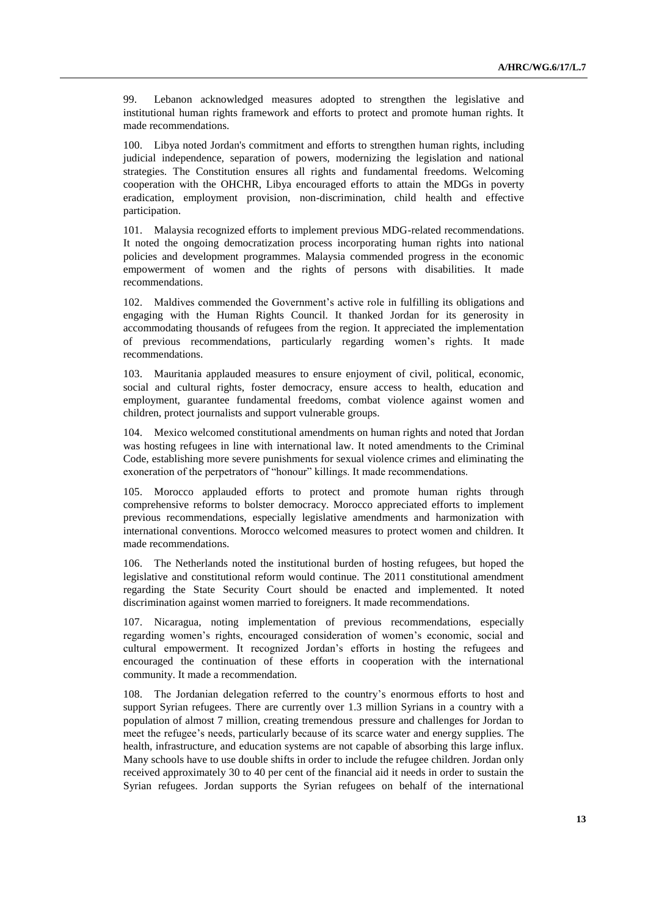99. Lebanon acknowledged measures adopted to strengthen the legislative and institutional human rights framework and efforts to protect and promote human rights. It made recommendations.

100. Libya noted Jordan's commitment and efforts to strengthen human rights, including judicial independence, separation of powers, modernizing the legislation and national strategies. The Constitution ensures all rights and fundamental freedoms. Welcoming cooperation with the OHCHR, Libya encouraged efforts to attain the MDGs in poverty eradication, employment provision, non-discrimination, child health and effective participation.

101. Malaysia recognized efforts to implement previous MDG-related recommendations. It noted the ongoing democratization process incorporating human rights into national policies and development programmes. Malaysia commended progress in the economic empowerment of women and the rights of persons with disabilities. It made recommendations.

102. Maldives commended the Government's active role in fulfilling its obligations and engaging with the Human Rights Council. It thanked Jordan for its generosity in accommodating thousands of refugees from the region. It appreciated the implementation of previous recommendations, particularly regarding women's rights. It made recommendations.

103. Mauritania applauded measures to ensure enjoyment of civil, political, economic, social and cultural rights, foster democracy, ensure access to health, education and employment, guarantee fundamental freedoms, combat violence against women and children, protect journalists and support vulnerable groups.

104. Mexico welcomed constitutional amendments on human rights and noted that Jordan was hosting refugees in line with international law. It noted amendments to the Criminal Code, establishing more severe punishments for sexual violence crimes and eliminating the exoneration of the perpetrators of "honour" killings. It made recommendations.

105. Morocco applauded efforts to protect and promote human rights through comprehensive reforms to bolster democracy. Morocco appreciated efforts to implement previous recommendations, especially legislative amendments and harmonization with international conventions. Morocco welcomed measures to protect women and children. It made recommendations.

106. The Netherlands noted the institutional burden of hosting refugees, but hoped the legislative and constitutional reform would continue. The 2011 constitutional amendment regarding the State Security Court should be enacted and implemented. It noted discrimination against women married to foreigners. It made recommendations.

107. Nicaragua, noting implementation of previous recommendations, especially regarding women's rights, encouraged consideration of women's economic, social and cultural empowerment. It recognized Jordan's efforts in hosting the refugees and encouraged the continuation of these efforts in cooperation with the international community. It made a recommendation.

108. The Jordanian delegation referred to the country's enormous efforts to host and support Syrian refugees. There are currently over 1.3 million Syrians in a country with a population of almost 7 million, creating tremendous pressure and challenges for Jordan to meet the refugee's needs, particularly because of its scarce water and energy supplies. The health, infrastructure, and education systems are not capable of absorbing this large influx. Many schools have to use double shifts in order to include the refugee children. Jordan only received approximately 30 to 40 per cent of the financial aid it needs in order to sustain the Syrian refugees. Jordan supports the Syrian refugees on behalf of the international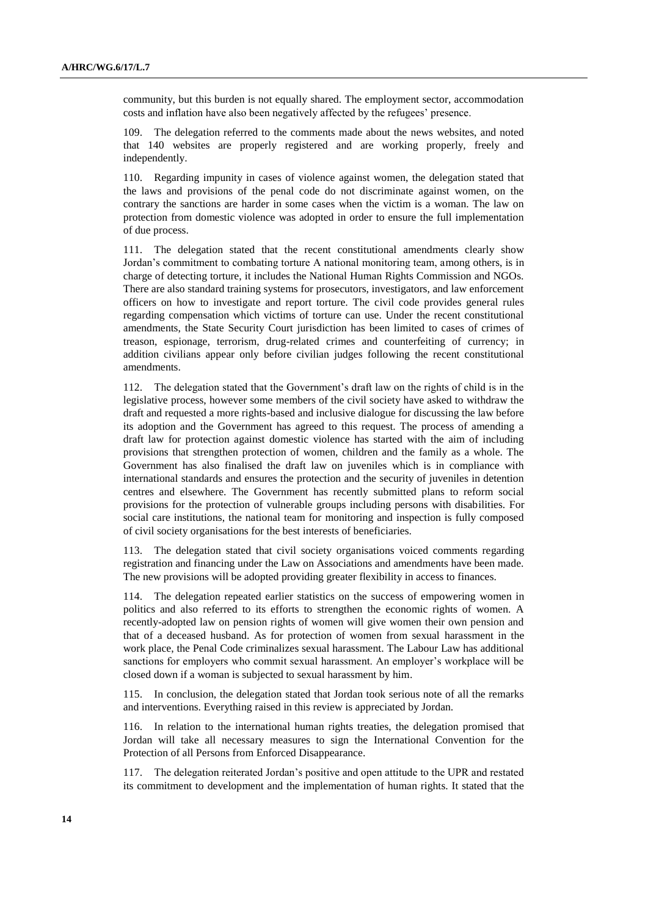community, but this burden is not equally shared. The employment sector, accommodation costs and inflation have also been negatively affected by the refugees' presence.

109. The delegation referred to the comments made about the news websites, and noted that 140 websites are properly registered and are working properly, freely and independently.

110. Regarding impunity in cases of violence against women, the delegation stated that the laws and provisions of the penal code do not discriminate against women, on the contrary the sanctions are harder in some cases when the victim is a woman. The law on protection from domestic violence was adopted in order to ensure the full implementation of due process.

111. The delegation stated that the recent constitutional amendments clearly show Jordan's commitment to combating torture A national monitoring team, among others, is in charge of detecting torture, it includes the National Human Rights Commission and NGOs. There are also standard training systems for prosecutors, investigators, and law enforcement officers on how to investigate and report torture. The civil code provides general rules regarding compensation which victims of torture can use. Under the recent constitutional amendments, the State Security Court jurisdiction has been limited to cases of crimes of treason, espionage, terrorism, drug-related crimes and counterfeiting of currency; in addition civilians appear only before civilian judges following the recent constitutional amendments.

112. The delegation stated that the Government's draft law on the rights of child is in the legislative process, however some members of the civil society have asked to withdraw the draft and requested a more rights-based and inclusive dialogue for discussing the law before its adoption and the Government has agreed to this request. The process of amending a draft law for protection against domestic violence has started with the aim of including provisions that strengthen protection of women, children and the family as a whole. The Government has also finalised the draft law on juveniles which is in compliance with international standards and ensures the protection and the security of juveniles in detention centres and elsewhere. The Government has recently submitted plans to reform social provisions for the protection of vulnerable groups including persons with disabilities. For social care institutions, the national team for monitoring and inspection is fully composed of civil society organisations for the best interests of beneficiaries.

113. The delegation stated that civil society organisations voiced comments regarding registration and financing under the Law on Associations and amendments have been made. The new provisions will be adopted providing greater flexibility in access to finances.

114. The delegation repeated earlier statistics on the success of empowering women in politics and also referred to its efforts to strengthen the economic rights of women. A recently-adopted law on pension rights of women will give women their own pension and that of a deceased husband. As for protection of women from sexual harassment in the work place, the Penal Code criminalizes sexual harassment. The Labour Law has additional sanctions for employers who commit sexual harassment. An employer's workplace will be closed down if a woman is subjected to sexual harassment by him.

115. In conclusion, the delegation stated that Jordan took serious note of all the remarks and interventions. Everything raised in this review is appreciated by Jordan.

116. In relation to the international human rights treaties, the delegation promised that Jordan will take all necessary measures to sign the International Convention for the Protection of all Persons from Enforced Disappearance.

117. The delegation reiterated Jordan's positive and open attitude to the UPR and restated its commitment to development and the implementation of human rights. It stated that the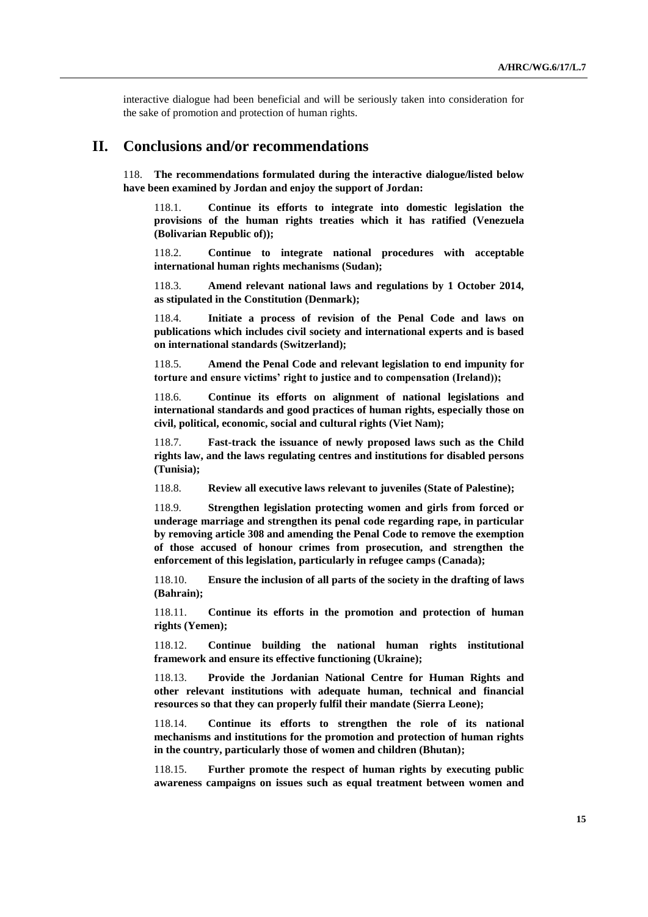interactive dialogue had been beneficial and will be seriously taken into consideration for the sake of promotion and protection of human rights.

## **II. Conclusions and/or recommendations**

118. **The recommendations formulated during the interactive dialogue/listed below have been examined by Jordan and enjoy the support of Jordan:**

118.1. **Continue its efforts to integrate into domestic legislation the provisions of the human rights treaties which it has ratified (Venezuela (Bolivarian Republic of));**

118.2. **Continue to integrate national procedures with acceptable international human rights mechanisms (Sudan);**

118.3. **Amend relevant national laws and regulations by 1 October 2014, as stipulated in the Constitution (Denmark);**

118.4. **Initiate a process of revision of the Penal Code and laws on publications which includes civil society and international experts and is based on international standards (Switzerland);**

118.5. **Amend the Penal Code and relevant legislation to end impunity for torture and ensure victims' right to justice and to compensation (Ireland));**

118.6. **Continue its efforts on alignment of national legislations and international standards and good practices of human rights, especially those on civil, political, economic, social and cultural rights (Viet Nam);**

118.7. **Fast-track the issuance of newly proposed laws such as the Child rights law, and the laws regulating centres and institutions for disabled persons (Tunisia);**

118.8. **Review all executive laws relevant to juveniles (State of Palestine);**

118.9. **Strengthen legislation protecting women and girls from forced or underage marriage and strengthen its penal code regarding rape, in particular by removing article 308 and amending the Penal Code to remove the exemption of those accused of honour crimes from prosecution, and strengthen the enforcement of this legislation, particularly in refugee camps (Canada);**

118.10. **Ensure the inclusion of all parts of the society in the drafting of laws (Bahrain);**

118.11. **Continue its efforts in the promotion and protection of human rights (Yemen);**

118.12. **Continue building the national human rights institutional framework and ensure its effective functioning (Ukraine);**

118.13. **Provide the Jordanian National Centre for Human Rights and other relevant institutions with adequate human, technical and financial resources so that they can properly fulfil their mandate (Sierra Leone);**

118.14. **Continue its efforts to strengthen the role of its national mechanisms and institutions for the promotion and protection of human rights in the country, particularly those of women and children (Bhutan);**

118.15. **Further promote the respect of human rights by executing public awareness campaigns on issues such as equal treatment between women and**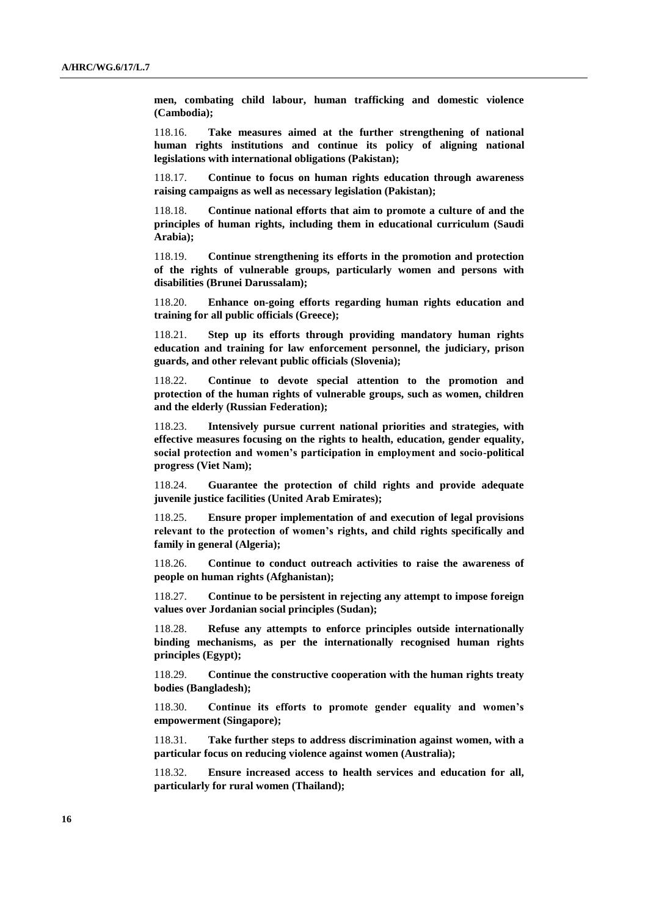**men, combating child labour, human trafficking and domestic violence (Cambodia);**

118.16. **Take measures aimed at the further strengthening of national human rights institutions and continue its policy of aligning national legislations with international obligations (Pakistan);**

118.17. **Continue to focus on human rights education through awareness raising campaigns as well as necessary legislation (Pakistan);**

118.18. **Continue national efforts that aim to promote a culture of and the principles of human rights, including them in educational curriculum (Saudi Arabia);**

118.19. **Continue strengthening its efforts in the promotion and protection of the rights of vulnerable groups, particularly women and persons with disabilities (Brunei Darussalam);**

118.20. **Enhance on-going efforts regarding human rights education and training for all public officials (Greece);**

118.21. **Step up its efforts through providing mandatory human rights education and training for law enforcement personnel, the judiciary, prison guards, and other relevant public officials (Slovenia);**

118.22. **Continue to devote special attention to the promotion and protection of the human rights of vulnerable groups, such as women, children and the elderly (Russian Federation);**

118.23. **Intensively pursue current national priorities and strategies, with effective measures focusing on the rights to health, education, gender equality, social protection and women's participation in employment and socio-political progress (Viet Nam);**

118.24. **Guarantee the protection of child rights and provide adequate juvenile justice facilities (United Arab Emirates);**

118.25. **Ensure proper implementation of and execution of legal provisions relevant to the protection of women's rights, and child rights specifically and family in general (Algeria);**

118.26. **Continue to conduct outreach activities to raise the awareness of people on human rights (Afghanistan);**

118.27. **Continue to be persistent in rejecting any attempt to impose foreign values over Jordanian social principles (Sudan);**

118.28. **Refuse any attempts to enforce principles outside internationally binding mechanisms, as per the internationally recognised human rights principles (Egypt);**

118.29. **Continue the constructive cooperation with the human rights treaty bodies (Bangladesh);**

118.30. **Continue its efforts to promote gender equality and women's empowerment (Singapore);**

118.31. **Take further steps to address discrimination against women, with a particular focus on reducing violence against women (Australia);**

118.32. **Ensure increased access to health services and education for all, particularly for rural women (Thailand);**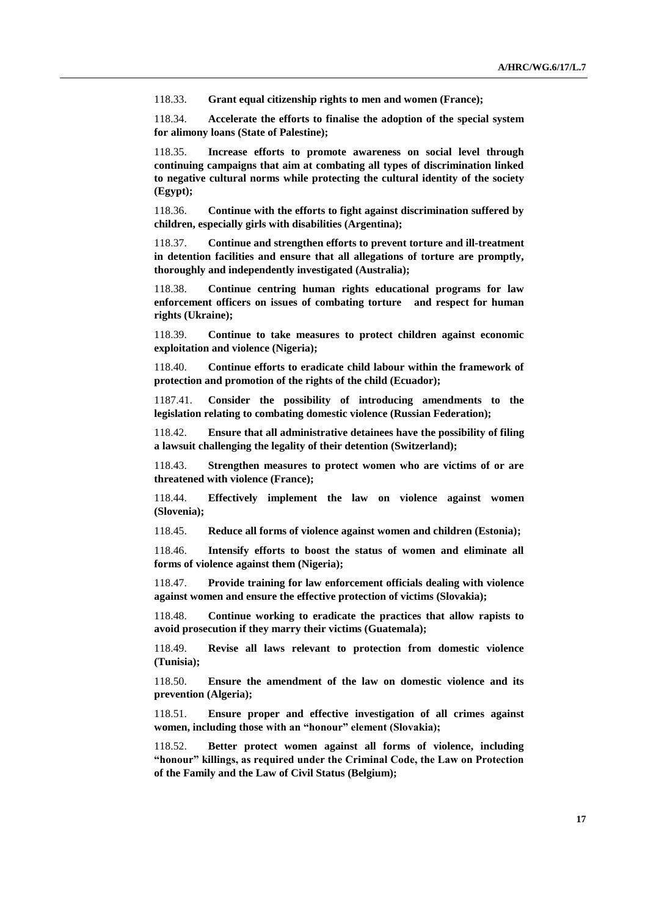118.33. **Grant equal citizenship rights to men and women (France);**

118.34. **Accelerate the efforts to finalise the adoption of the special system for alimony loans (State of Palestine);**

118.35. **Increase efforts to promote awareness on social level through continuing campaigns that aim at combating all types of discrimination linked to negative cultural norms while protecting the cultural identity of the society (Egypt);**

118.36. **Continue with the efforts to fight against discrimination suffered by children, especially girls with disabilities (Argentina);**

118.37. **Continue and strengthen efforts to prevent torture and ill-treatment in detention facilities and ensure that all allegations of torture are promptly, thoroughly and independently investigated (Australia);**

118.38. **Continue centring human rights educational programs for law enforcement officers on issues of combating torture and respect for human rights (Ukraine);**

118.39. **Continue to take measures to protect children against economic exploitation and violence (Nigeria);**

118.40. **Continue efforts to eradicate child labour within the framework of protection and promotion of the rights of the child (Ecuador);**

1187.41. **Consider the possibility of introducing amendments to the legislation relating to combating domestic violence (Russian Federation);**

118.42. **Ensure that all administrative detainees have the possibility of filing a lawsuit challenging the legality of their detention (Switzerland);**

118.43. **Strengthen measures to protect women who are victims of or are threatened with violence (France);**

118.44. **Effectively implement the law on violence against women (Slovenia);**

118.45. **Reduce all forms of violence against women and children (Estonia);**

118.46. **Intensify efforts to boost the status of women and eliminate all forms of violence against them (Nigeria);**

118.47. **Provide training for law enforcement officials dealing with violence against women and ensure the effective protection of victims (Slovakia);**

118.48. **Continue working to eradicate the practices that allow rapists to avoid prosecution if they marry their victims (Guatemala);**

118.49. **Revise all laws relevant to protection from domestic violence (Tunisia);**

118.50. **Ensure the amendment of the law on domestic violence and its prevention (Algeria);**

118.51. **Ensure proper and effective investigation of all crimes against women, including those with an "honour" element (Slovakia);**

118.52. **Better protect women against all forms of violence, including "honour" killings, as required under the Criminal Code, the Law on Protection of the Family and the Law of Civil Status (Belgium);**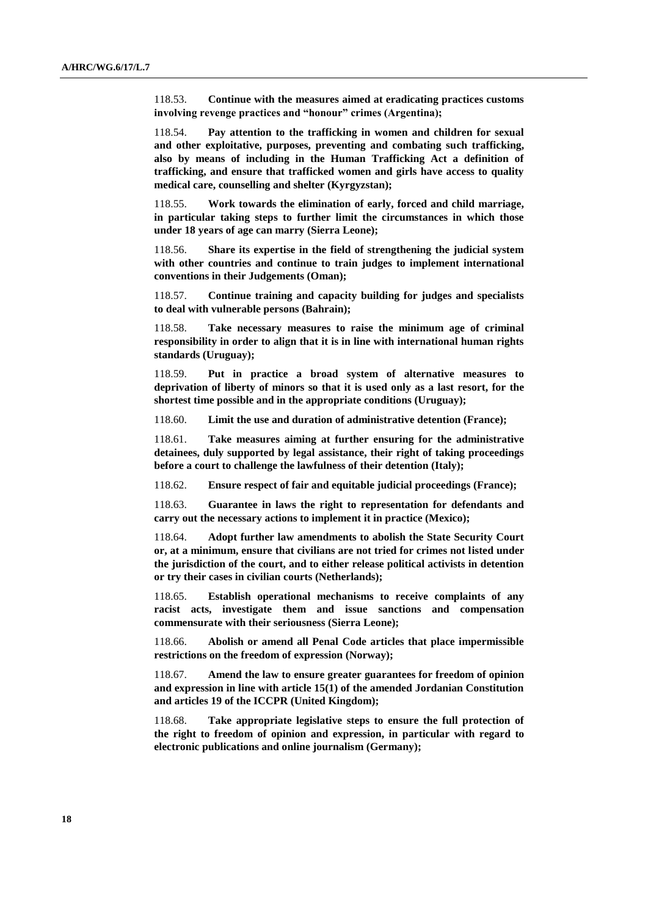118.53. **Continue with the measures aimed at eradicating practices customs involving revenge practices and "honour" crimes (Argentina);**

118.54. **Pay attention to the trafficking in women and children for sexual and other exploitative, purposes, preventing and combating such trafficking, also by means of including in the Human Trafficking Act a definition of trafficking, and ensure that trafficked women and girls have access to quality medical care, counselling and shelter (Kyrgyzstan);**

118.55. **Work towards the elimination of early, forced and child marriage, in particular taking steps to further limit the circumstances in which those under 18 years of age can marry (Sierra Leone);**

118.56. **Share its expertise in the field of strengthening the judicial system with other countries and continue to train judges to implement international conventions in their Judgements (Oman);**

118.57. **Continue training and capacity building for judges and specialists to deal with vulnerable persons (Bahrain);**

118.58. **Take necessary measures to raise the minimum age of criminal responsibility in order to align that it is in line with international human rights standards (Uruguay);**

118.59. **Put in practice a broad system of alternative measures to deprivation of liberty of minors so that it is used only as a last resort, for the shortest time possible and in the appropriate conditions (Uruguay);**

118.60. **Limit the use and duration of administrative detention (France);**

118.61. **Take measures aiming at further ensuring for the administrative detainees, duly supported by legal assistance, their right of taking proceedings before a court to challenge the lawfulness of their detention (Italy);**

118.62. **Ensure respect of fair and equitable judicial proceedings (France);** 

118.63. **Guarantee in laws the right to representation for defendants and carry out the necessary actions to implement it in practice (Mexico);**

118.64. **Adopt further law amendments to abolish the State Security Court or, at a minimum, ensure that civilians are not tried for crimes not listed under the jurisdiction of the court, and to either release political activists in detention or try their cases in civilian courts (Netherlands);**

118.65. **Establish operational mechanisms to receive complaints of any racist acts, investigate them and issue sanctions and compensation commensurate with their seriousness (Sierra Leone);**

118.66. **Abolish or amend all Penal Code articles that place impermissible restrictions on the freedom of expression (Norway);**

118.67. **Amend the law to ensure greater guarantees for freedom of opinion and expression in line with article 15(1) of the amended Jordanian Constitution and articles 19 of the ICCPR (United Kingdom);**

118.68. **Take appropriate legislative steps to ensure the full protection of the right to freedom of opinion and expression, in particular with regard to electronic publications and online journalism (Germany);**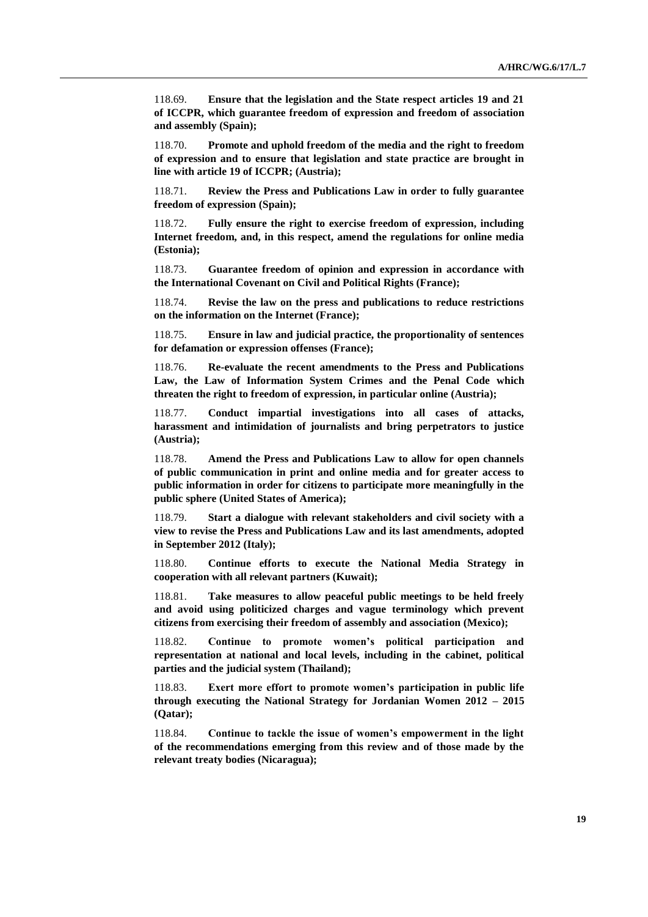118.69. **Ensure that the legislation and the State respect articles 19 and 21 of ICCPR, which guarantee freedom of expression and freedom of association and assembly (Spain);**

118.70. **Promote and uphold freedom of the media and the right to freedom of expression and to ensure that legislation and state practice are brought in line with article 19 of ICCPR; (Austria);**

118.71. **Review the Press and Publications Law in order to fully guarantee freedom of expression (Spain);**

118.72. **Fully ensure the right to exercise freedom of expression, including Internet freedom, and, in this respect, amend the regulations for online media (Estonia);**

118.73. **Guarantee freedom of opinion and expression in accordance with the International Covenant on Civil and Political Rights (France);**

118.74. **Revise the law on the press and publications to reduce restrictions on the information on the Internet (France);** 

118.75. **Ensure in law and judicial practice, the proportionality of sentences for defamation or expression offenses (France);** 

118.76. **Re-evaluate the recent amendments to the Press and Publications Law, the Law of Information System Crimes and the Penal Code which threaten the right to freedom of expression, in particular online (Austria);**

118.77. **Conduct impartial investigations into all cases of attacks, harassment and intimidation of journalists and bring perpetrators to justice (Austria);**

118.78. **Amend the Press and Publications Law to allow for open channels of public communication in print and online media and for greater access to public information in order for citizens to participate more meaningfully in the public sphere (United States of America);**

118.79. **Start a dialogue with relevant stakeholders and civil society with a view to revise the Press and Publications Law and its last amendments, adopted in September 2012 (Italy);**

118.80. **Continue efforts to execute the National Media Strategy in cooperation with all relevant partners (Kuwait);**

118.81. **Take measures to allow peaceful public meetings to be held freely and avoid using politicized charges and vague terminology which prevent citizens from exercising their freedom of assembly and association (Mexico);** 

118.82. **Continue to promote women's political participation and representation at national and local levels, including in the cabinet, political parties and the judicial system (Thailand);**

118.83. **Exert more effort to promote women's participation in public life through executing the National Strategy for Jordanian Women 2012 – 2015 (Qatar);**

118.84. **Continue to tackle the issue of women's empowerment in the light of the recommendations emerging from this review and of those made by the relevant treaty bodies (Nicaragua);**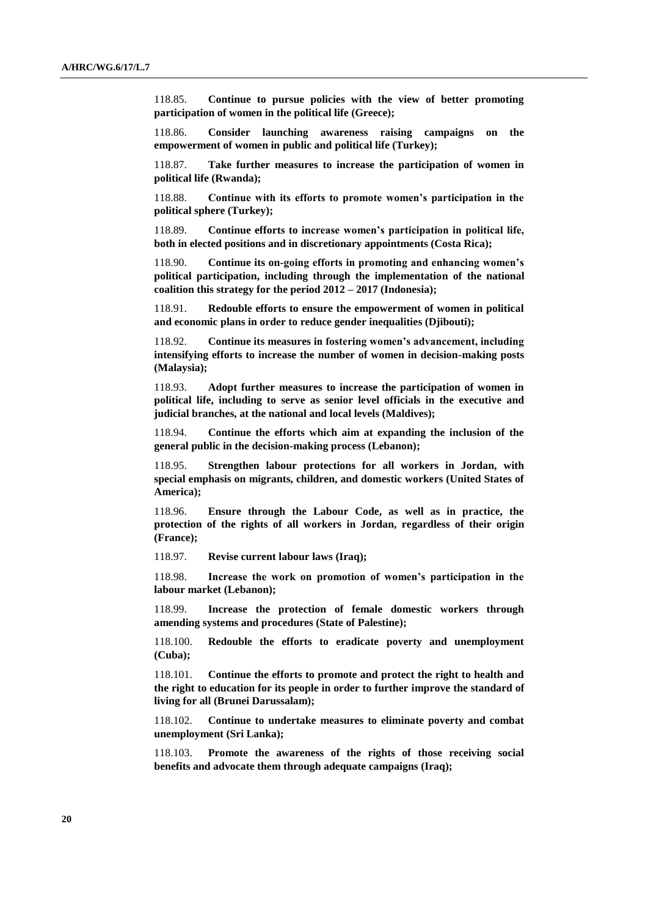118.85. **Continue to pursue policies with the view of better promoting participation of women in the political life (Greece);**

118.86. **Consider launching awareness raising campaigns on the empowerment of women in public and political life (Turkey);**

118.87. **Take further measures to increase the participation of women in political life (Rwanda);**

118.88. **Continue with its efforts to promote women's participation in the political sphere (Turkey);**

118.89. **Continue efforts to increase women's participation in political life, both in elected positions and in discretionary appointments (Costa Rica);**

118.90. **Continue its on-going efforts in promoting and enhancing women's political participation, including through the implementation of the national coalition this strategy for the period 2012 – 2017 (Indonesia);**

118.91. **Redouble efforts to ensure the empowerment of women in political and economic plans in order to reduce gender inequalities (Djibouti);**

118.92. **Continue its measures in fostering women's advancement, including intensifying efforts to increase the number of women in decision-making posts (Malaysia);**

118.93. **Adopt further measures to increase the participation of women in political life, including to serve as senior level officials in the executive and judicial branches, at the national and local levels (Maldives);**

118.94. **Continue the efforts which aim at expanding the inclusion of the general public in the decision-making process (Lebanon);**

118.95. **Strengthen labour protections for all workers in Jordan, with special emphasis on migrants, children, and domestic workers (United States of America);**

118.96. **Ensure through the Labour Code, as well as in practice, the protection of the rights of all workers in Jordan, regardless of their origin (France);**

118.97. **Revise current labour laws (Iraq);**

118.98. **Increase the work on promotion of women's participation in the labour market (Lebanon);**

118.99. **Increase the protection of female domestic workers through amending systems and procedures (State of Palestine);**

118.100. **Redouble the efforts to eradicate poverty and unemployment (Cuba);**

118.101. **Continue the efforts to promote and protect the right to health and the right to education for its people in order to further improve the standard of living for all (Brunei Darussalam);**

118.102. **Continue to undertake measures to eliminate poverty and combat unemployment (Sri Lanka);**

118.103. **Promote the awareness of the rights of those receiving social benefits and advocate them through adequate campaigns (Iraq);**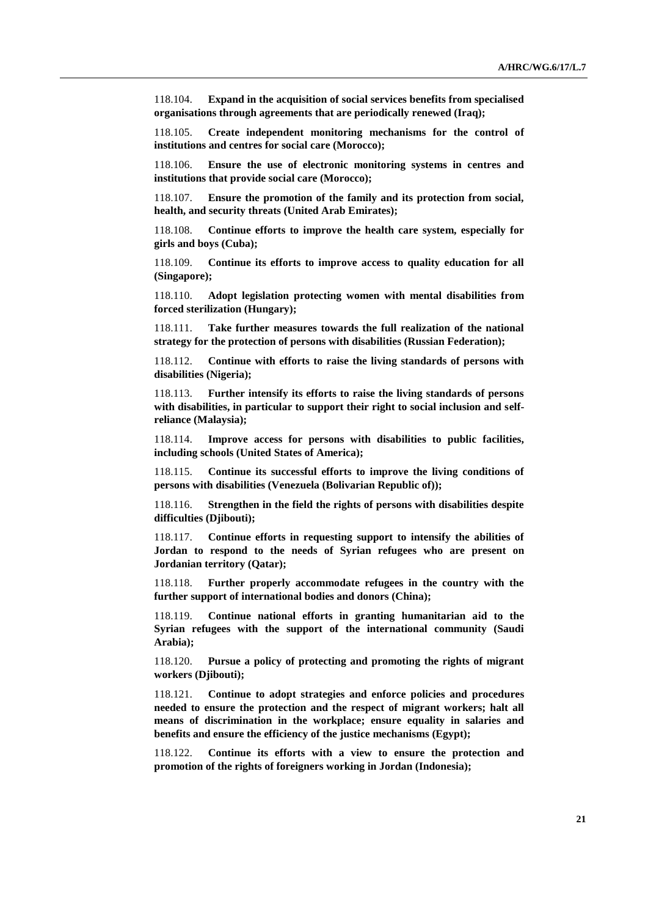118.104. **Expand in the acquisition of social services benefits from specialised organisations through agreements that are periodically renewed (Iraq);**

118.105. **Create independent monitoring mechanisms for the control of institutions and centres for social care (Morocco);**

118.106. **Ensure the use of electronic monitoring systems in centres and institutions that provide social care (Morocco);**

118.107. **Ensure the promotion of the family and its protection from social, health, and security threats (United Arab Emirates);**

118.108. **Continue efforts to improve the health care system, especially for girls and boys (Cuba);**

118.109. **Continue its efforts to improve access to quality education for all (Singapore);**

118.110. **Adopt legislation protecting women with mental disabilities from forced sterilization (Hungary);**

118.111. **Take further measures towards the full realization of the national strategy for the protection of persons with disabilities (Russian Federation);**

118.112. **Continue with efforts to raise the living standards of persons with disabilities (Nigeria);**

118.113. **Further intensify its efforts to raise the living standards of persons with disabilities, in particular to support their right to social inclusion and selfreliance (Malaysia);**

118.114. **Improve access for persons with disabilities to public facilities, including schools (United States of America);**

118.115. **Continue its successful efforts to improve the living conditions of persons with disabilities (Venezuela (Bolivarian Republic of));**

118.116. **Strengthen in the field the rights of persons with disabilities despite difficulties (Djibouti);**

118.117. **Continue efforts in requesting support to intensify the abilities of Jordan to respond to the needs of Syrian refugees who are present on Jordanian territory (Qatar);**

118.118. **Further properly accommodate refugees in the country with the further support of international bodies and donors (China);**

118.119. **Continue national efforts in granting humanitarian aid to the Syrian refugees with the support of the international community (Saudi Arabia);**

118.120. **Pursue a policy of protecting and promoting the rights of migrant workers (Djibouti);**

118.121. **Continue to adopt strategies and enforce policies and procedures needed to ensure the protection and the respect of migrant workers; halt all means of discrimination in the workplace; ensure equality in salaries and benefits and ensure the efficiency of the justice mechanisms (Egypt);**

118.122. **Continue its efforts with a view to ensure the protection and promotion of the rights of foreigners working in Jordan (Indonesia);**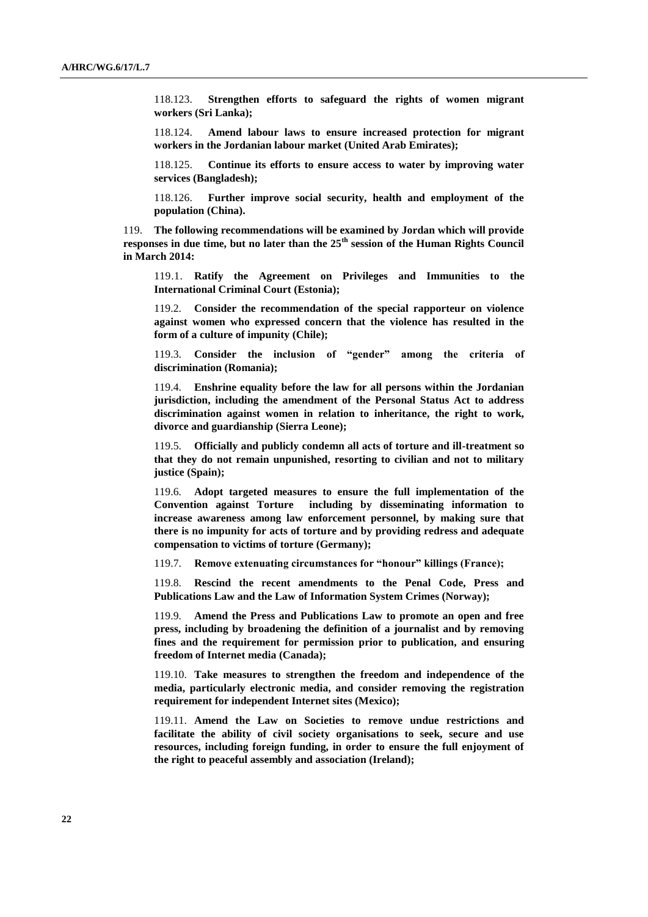118.123. **Strengthen efforts to safeguard the rights of women migrant workers (Sri Lanka);**

118.124. **Amend labour laws to ensure increased protection for migrant workers in the Jordanian labour market (United Arab Emirates);**

118.125. **Continue its efforts to ensure access to water by improving water services (Bangladesh);**

118.126. **Further improve social security, health and employment of the population (China).**

119. **The following recommendations will be examined by Jordan which will provide responses in due time, but no later than the 25th session of the Human Rights Council in March 2014:**

119.1. **Ratify the Agreement on Privileges and Immunities to the International Criminal Court (Estonia);**

119.2. **Consider the recommendation of the special rapporteur on violence against women who expressed concern that the violence has resulted in the form of a culture of impunity (Chile);**

119.3. **Consider the inclusion of "gender" among the criteria of discrimination (Romania);**

119.4. **Enshrine equality before the law for all persons within the Jordanian jurisdiction, including the amendment of the Personal Status Act to address discrimination against women in relation to inheritance, the right to work, divorce and guardianship (Sierra Leone);**

119.5. **Officially and publicly condemn all acts of torture and ill-treatment so that they do not remain unpunished, resorting to civilian and not to military justice (Spain);**

119.6. **Adopt targeted measures to ensure the full implementation of the Convention against Torture including by disseminating information to increase awareness among law enforcement personnel, by making sure that there is no impunity for acts of torture and by providing redress and adequate compensation to victims of torture (Germany);**

119.7. **Remove extenuating circumstances for "honour" killings (France);**

119.8. **Rescind the recent amendments to the Penal Code, Press and Publications Law and the Law of Information System Crimes (Norway);**

119.9. **Amend the Press and Publications Law to promote an open and free press, including by broadening the definition of a journalist and by removing fines and the requirement for permission prior to publication, and ensuring freedom of Internet media (Canada);**

119.10. **Take measures to strengthen the freedom and independence of the media, particularly electronic media, and consider removing the registration requirement for independent Internet sites (Mexico);**

119.11. **Amend the Law on Societies to remove undue restrictions and facilitate the ability of civil society organisations to seek, secure and use resources, including foreign funding, in order to ensure the full enjoyment of the right to peaceful assembly and association (Ireland);**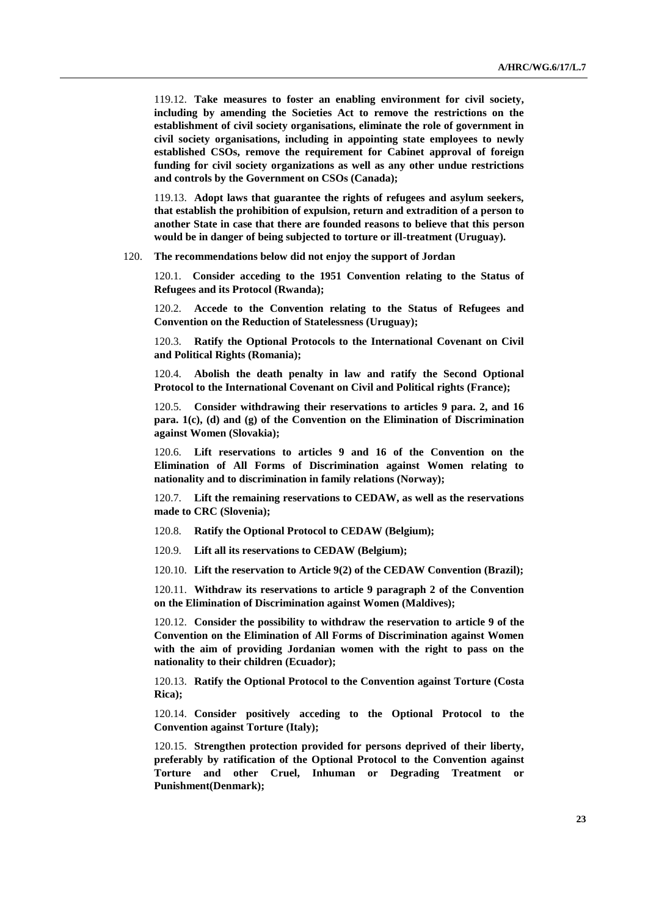119.12. **Take measures to foster an enabling environment for civil society, including by amending the Societies Act to remove the restrictions on the establishment of civil society organisations, eliminate the role of government in civil society organisations, including in appointing state employees to newly established CSOs, remove the requirement for Cabinet approval of foreign funding for civil society organizations as well as any other undue restrictions and controls by the Government on CSOs (Canada);**

119.13. **Adopt laws that guarantee the rights of refugees and asylum seekers, that establish the prohibition of expulsion, return and extradition of a person to another State in case that there are founded reasons to believe that this person would be in danger of being subjected to torture or ill-treatment (Uruguay).**

120. **The recommendations below did not enjoy the support of Jordan**

120.1. **Consider acceding to the 1951 Convention relating to the Status of Refugees and its Protocol (Rwanda);**

120.2. **Accede to the Convention relating to the Status of Refugees and Convention on the Reduction of Statelessness (Uruguay);**

120.3. **Ratify the Optional Protocols to the International Covenant on Civil and Political Rights (Romania);**

120.4. **Abolish the death penalty in law and ratify the Second Optional Protocol to the International Covenant on Civil and Political rights (France);**

120.5. **Consider withdrawing their reservations to articles 9 para. 2, and 16 para. 1(c), (d) and (g) of the Convention on the Elimination of Discrimination against Women (Slovakia);**

120.6. **Lift reservations to articles 9 and 16 of the Convention on the Elimination of All Forms of Discrimination against Women relating to nationality and to discrimination in family relations (Norway);**

120.7. **Lift the remaining reservations to CEDAW, as well as the reservations made to CRC (Slovenia);**

120.8. **Ratify the Optional Protocol to CEDAW (Belgium);**

120.9. **Lift all its reservations to CEDAW (Belgium);**

120.10. **Lift the reservation to Article 9(2) of the CEDAW Convention (Brazil);**

120.11. **Withdraw its reservations to article 9 paragraph 2 of the Convention on the Elimination of Discrimination against Women (Maldives);**

120.12. **Consider the possibility to withdraw the reservation to article 9 of the Convention on the Elimination of All Forms of Discrimination against Women with the aim of providing Jordanian women with the right to pass on the nationality to their children (Ecuador);**

120.13. **Ratify the Optional Protocol to the Convention against Torture (Costa Rica);**

120.14. **Consider positively acceding to the Optional Protocol to the Convention against Torture (Italy);**

120.15. **Strengthen protection provided for persons deprived of their liberty, preferably by ratification of the Optional Protocol to the Convention against Torture and other Cruel, Inhuman or Degrading Treatment or Punishment(Denmark);**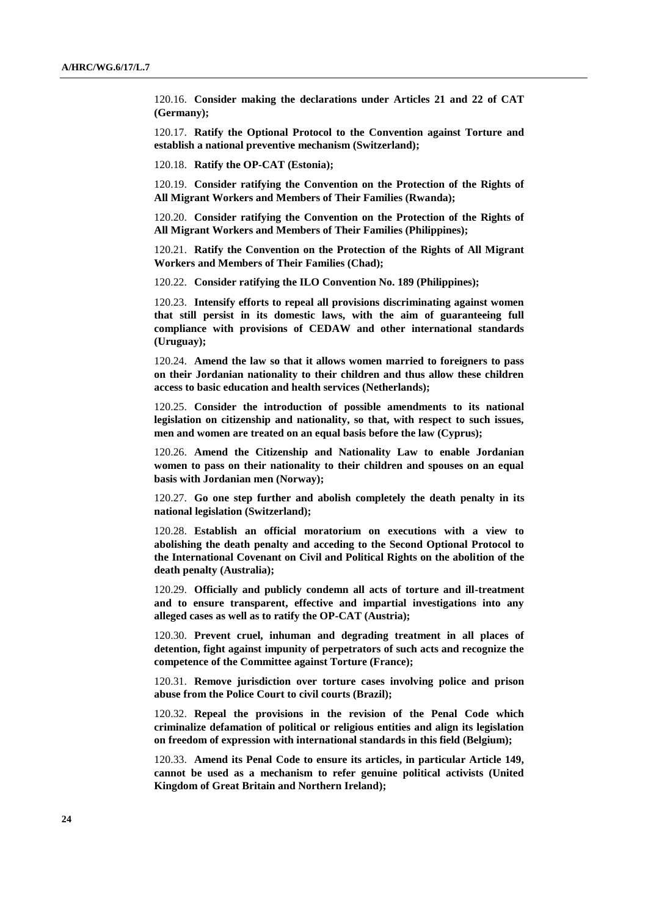120.16. **Consider making the declarations under Articles 21 and 22 of CAT (Germany);**

120.17. **Ratify the Optional Protocol to the Convention against Torture and establish a national preventive mechanism (Switzerland);**

120.18. **Ratify the OP-CAT (Estonia);**

120.19. **Consider ratifying the Convention on the Protection of the Rights of All Migrant Workers and Members of Their Families (Rwanda);**

120.20. **Consider ratifying the Convention on the Protection of the Rights of All Migrant Workers and Members of Their Families (Philippines);**

120.21. **Ratify the Convention on the Protection of the Rights of All Migrant Workers and Members of Their Families (Chad);**

120.22. **Consider ratifying the ILO Convention No. 189 (Philippines);**

120.23. **Intensify efforts to repeal all provisions discriminating against women that still persist in its domestic laws, with the aim of guaranteeing full compliance with provisions of CEDAW and other international standards (Uruguay);**

120.24. **Amend the law so that it allows women married to foreigners to pass on their Jordanian nationality to their children and thus allow these children access to basic education and health services (Netherlands);**

120.25. **Consider the introduction of possible amendments to its national legislation on citizenship and nationality, so that, with respect to such issues, men and women are treated on an equal basis before the law (Cyprus);**

120.26. **Amend the Citizenship and Nationality Law to enable Jordanian women to pass on their nationality to their children and spouses on an equal basis with Jordanian men (Norway);**

120.27. **Go one step further and abolish completely the death penalty in its national legislation (Switzerland);**

120.28. **Establish an official moratorium on executions with a view to abolishing the death penalty and acceding to the Second Optional Protocol to the International Covenant on Civil and Political Rights on the abolition of the death penalty (Australia);**

120.29. **Officially and publicly condemn all acts of torture and ill-treatment and to ensure transparent, effective and impartial investigations into any alleged cases as well as to ratify the OP-CAT (Austria);**

120.30. **Prevent cruel, inhuman and degrading treatment in all places of detention, fight against impunity of perpetrators of such acts and recognize the competence of the Committee against Torture (France);**

120.31. **Remove jurisdiction over torture cases involving police and prison abuse from the Police Court to civil courts (Brazil);**

120.32. **Repeal the provisions in the revision of the Penal Code which criminalize defamation of political or religious entities and align its legislation on freedom of expression with international standards in this field (Belgium);**

120.33. **Amend its Penal Code to ensure its articles, in particular Article 149, cannot be used as a mechanism to refer genuine political activists (United Kingdom of Great Britain and Northern Ireland);**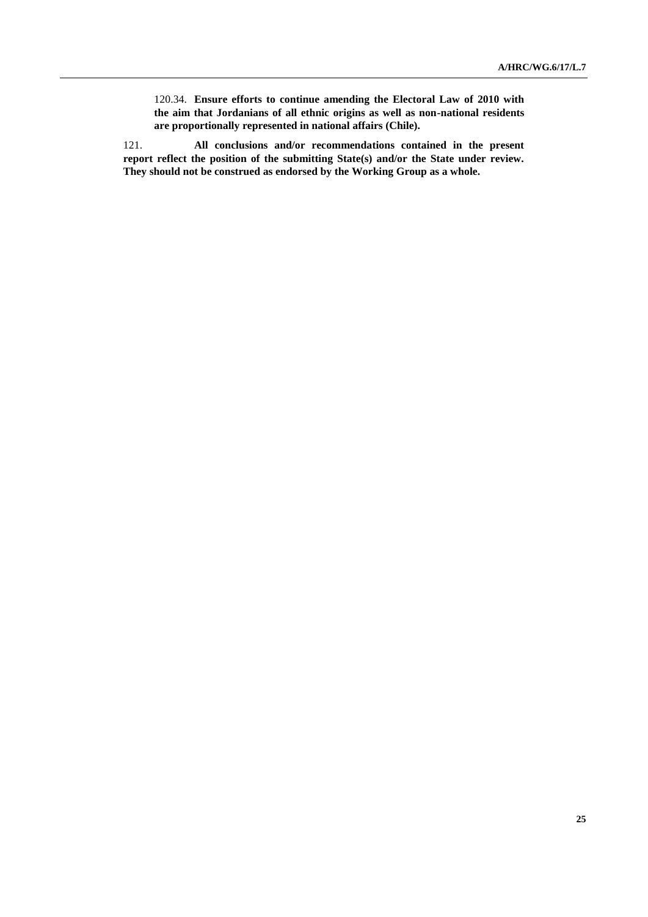120.34. **Ensure efforts to continue amending the Electoral Law of 2010 with the aim that Jordanians of all ethnic origins as well as non-national residents are proportionally represented in national affairs (Chile).**

121. **All conclusions and/or recommendations contained in the present report reflect the position of the submitting State(s) and/or the State under review. They should not be construed as endorsed by the Working Group as a whole.**